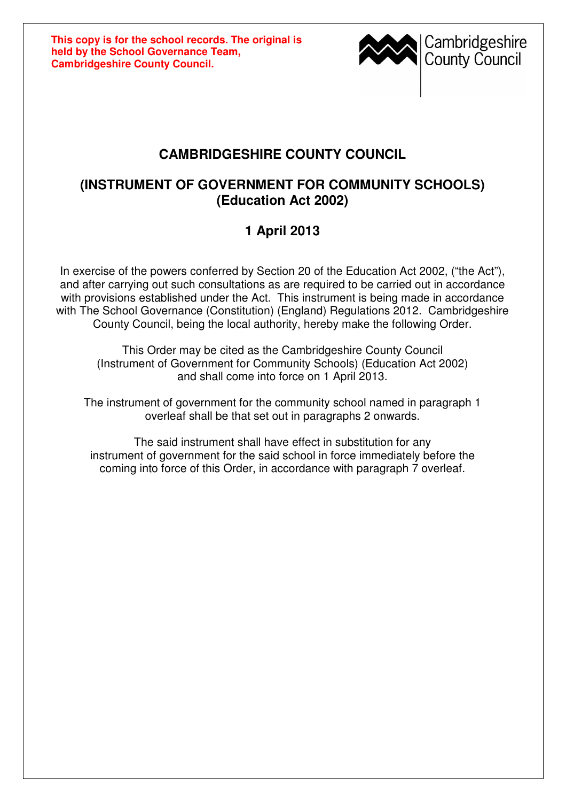**This copy is for the school records. The original is held by the School Governance Team, Cambridgeshire County Council.**



## **CAMBRIDGESHIRE COUNTY COUNCIL**

## **(INSTRUMENT OF GOVERNMENT FOR COMMUNITY SCHOOLS) (Education Act 2002)**

## **1 April 2013**

In exercise of the powers conferred by Section 20 of the Education Act 2002, ("the Act"), and after carrying out such consultations as are required to be carried out in accordance with provisions established under the Act. This instrument is being made in accordance with The School Governance (Constitution) (England) Regulations 2012. Cambridgeshire County Council, being the local authority, hereby make the following Order.

This Order may be cited as the Cambridgeshire County Council (Instrument of Government for Community Schools) (Education Act 2002) and shall come into force on 1 April 2013.

The instrument of government for the community school named in paragraph 1 overleaf shall be that set out in paragraphs 2 onwards.

The said instrument shall have effect in substitution for any instrument of government for the said school in force immediately before the coming into force of this Order, in accordance with paragraph 7 overleaf.